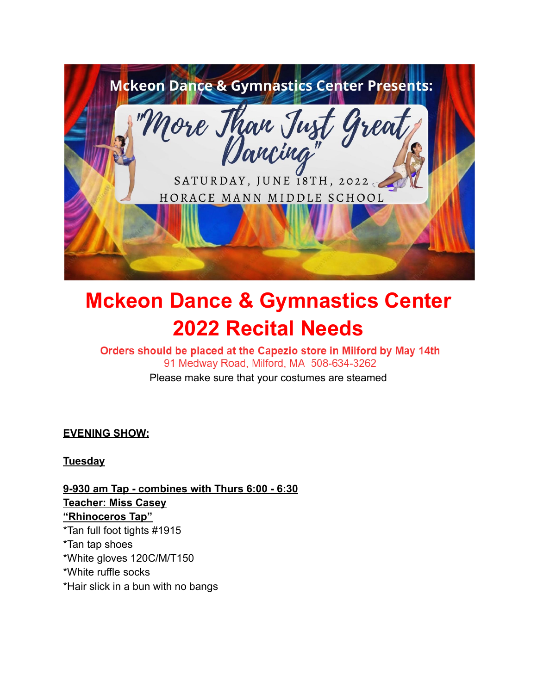

# **Mckeon Dance & Gymnastics Center 2022 Recital Needs**

# Orders should be placed at the Capezio store in Milford by May 14th 91 Medway Road, Milford, MA 508-634-3262

Please make sure that your costumes are steamed

**EVENING SHOW:**

**Tuesday**

**9-930 am Tap - combines with Thurs 6:00 - 6:30 Teacher: Miss Casey "Rhinoceros Tap"** \*Tan full foot tights #1915 \*Tan tap shoes \*White gloves 120C/M/T150 \*White ruffle socks \*Hair slick in a bun with no bangs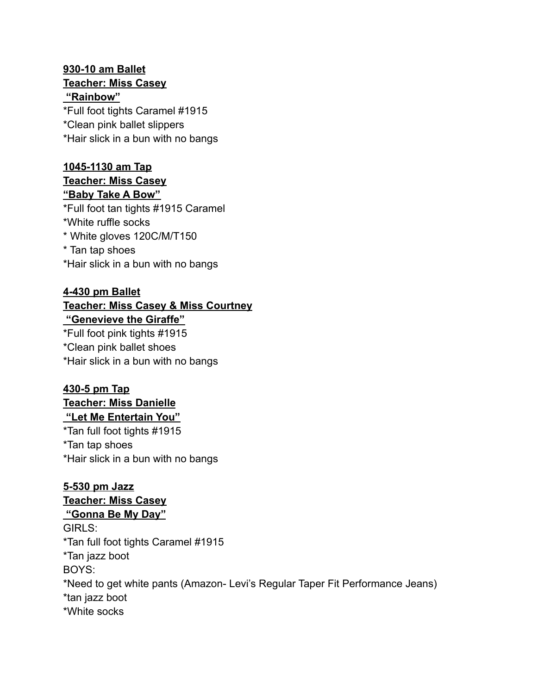#### **930-10 am Ballet Teacher: Miss Casey "Rainbow"**

\*Full foot tights Caramel #1915 \*Clean pink ballet slippers \*Hair slick in a bun with no bangs

#### **1045-1130 am Tap Teacher: Miss Casey "Baby Take A Bow"**

\*Full foot tan tights #1915 Caramel \*White ruffle socks \* White gloves 120C/M/T150 \* Tan tap shoes \*Hair slick in a bun with no bangs

#### **4-430 pm Ballet Teacher: Miss Casey & Miss Courtney "Genevieve the Giraffe"**

\*Full foot pink tights #1915 \*Clean pink ballet shoes \*Hair slick in a bun with no bangs

#### **430-5 pm Tap Teacher: Miss Danielle**

**"Let Me Entertain You"** \*Tan full foot tights #1915 \*Tan tap shoes \*Hair slick in a bun with no bangs

**5-530 pm Jazz Teacher: Miss Casey "Gonna Be My Day"** GIRLS: \*Tan full foot tights Caramel #1915 \*Tan jazz boot BOYS: \*Need to get white pants (Amazon- Levi's Regular Taper Fit Performance Jeans) \*tan jazz boot \*White socks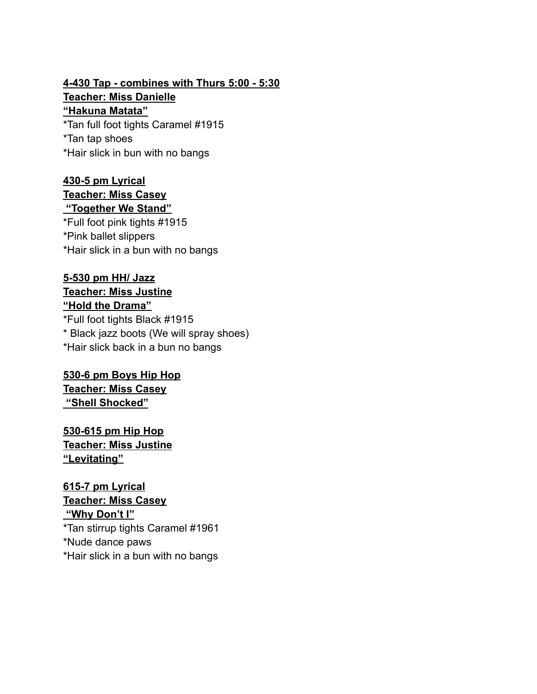## **4-430 Tap - combines with Thurs 5:00 - 5:30 Teacher: Miss Danielle "Hakuna Matata"** \*Tan full foot tights Caramel #1915

\*Tan tap shoes \*Hair slick in bun with no bangs

#### **430-5 pm Lyrical Teacher: Miss Casey "Together We Stand"**

\*Full foot pink tights #1915 \*Pink ballet slippers \*Hair slick in a bun with no bangs

#### **5-530 pm HH/ Jazz Teacher: Miss Justine "Hold the Drama"**

\*Full foot tights Black #1915 \* Black jazz boots (We will spray shoes) \*Hair slick back in a bun no bangs

#### **530-6 pm Boys Hip Hop Teacher: Miss Casey "Shell Shocked"**

**530-615 pm Hip Hop Teacher: Miss Justine "Levitating"**

#### **615-7 pm Lyrical Teacher: Miss Casey "Why Don't I"**

\*Tan stirrup tights Caramel #1961 \*Nude dance paws \*Hair slick in a bun with no bangs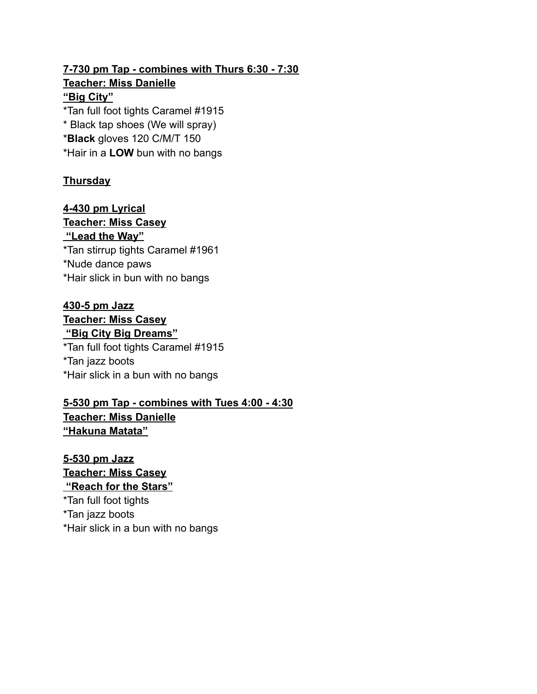#### **7-730 pm Tap - combines with Thurs 6:30 - 7:30 Teacher: Miss Danielle "Big City"** \*Tan full foot tights Caramel #1915

\* Black tap shoes (We will spray) \***Black** gloves 120 C/M/T 150 \*Hair in a **LOW** bun with no bangs

#### **Thursday**

**4-430 pm Lyrical Teacher: Miss Casey "Lead the Way"** \*Tan stirrup tights Caramel #1961 \*Nude dance paws \*Hair slick in bun with no bangs

### **430-5 pm Jazz Teacher: Miss Casey "Big City Big Dreams"**

\*Tan full foot tights Caramel #1915 \*Tan jazz boots \*Hair slick in a bun with no bangs

#### **5-530 pm Tap - combines with Tues 4:00 - 4:30 Teacher: Miss Danielle "Hakuna Matata"**

**5-530 pm Jazz Teacher: Miss Casey "Reach for the Stars"** \*Tan full foot tights \*Tan jazz boots \*Hair slick in a bun with no bangs